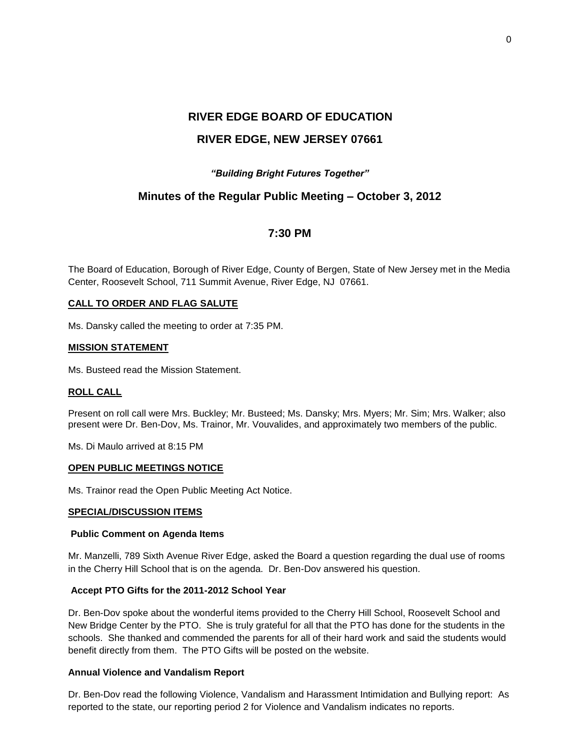# **RIVER EDGE BOARD OF EDUCATION RIVER EDGE, NEW JERSEY 07661**

## *"Building Bright Futures Together"*

# **Minutes of the Regular Public Meeting – October 3, 2012**

# **7:30 PM**

The Board of Education, Borough of River Edge, County of Bergen, State of New Jersey met in the Media Center, Roosevelt School, 711 Summit Avenue, River Edge, NJ 07661.

## **CALL TO ORDER AND FLAG SALUTE**

Ms. Dansky called the meeting to order at 7:35 PM.

## **MISSION STATEMENT**

Ms. Busteed read the Mission Statement.

## **ROLL CALL**

Present on roll call were Mrs. Buckley; Mr. Busteed; Ms. Dansky; Mrs. Myers; Mr. Sim; Mrs. Walker; also present were Dr. Ben-Dov, Ms. Trainor, Mr. Vouvalides, and approximately two members of the public.

Ms. Di Maulo arrived at 8:15 PM

### **OPEN PUBLIC MEETINGS NOTICE**

Ms. Trainor read the Open Public Meeting Act Notice.

#### **SPECIAL/DISCUSSION ITEMS**

#### **Public Comment on Agenda Items**

Mr. Manzelli, 789 Sixth Avenue River Edge, asked the Board a question regarding the dual use of rooms in the Cherry Hill School that is on the agenda. Dr. Ben-Dov answered his question.

## **Accept PTO Gifts for the 2011-2012 School Year**

Dr. Ben-Dov spoke about the wonderful items provided to the Cherry Hill School, Roosevelt School and New Bridge Center by the PTO. She is truly grateful for all that the PTO has done for the students in the schools. She thanked and commended the parents for all of their hard work and said the students would benefit directly from them. The PTO Gifts will be posted on the website.

## **Annual Violence and Vandalism Report**

Dr. Ben-Dov read the following Violence, Vandalism and Harassment Intimidation and Bullying report: As reported to the state, our reporting period 2 for Violence and Vandalism indicates no reports.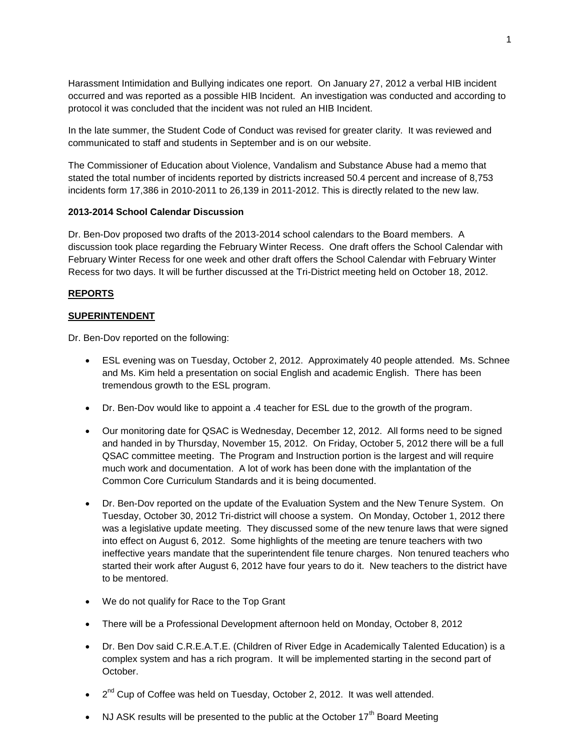Harassment Intimidation and Bullying indicates one report. On January 27, 2012 a verbal HIB incident occurred and was reported as a possible HIB Incident. An investigation was conducted and according to protocol it was concluded that the incident was not ruled an HIB Incident.

In the late summer, the Student Code of Conduct was revised for greater clarity. It was reviewed and communicated to staff and students in September and is on our website.

The Commissioner of Education about Violence, Vandalism and Substance Abuse had a memo that stated the total number of incidents reported by districts increased 50.4 percent and increase of 8,753 incidents form 17,386 in 2010-2011 to 26,139 in 2011-2012. This is directly related to the new law.

## **2013-2014 School Calendar Discussion**

Dr. Ben-Dov proposed two drafts of the 2013-2014 school calendars to the Board members. A discussion took place regarding the February Winter Recess. One draft offers the School Calendar with February Winter Recess for one week and other draft offers the School Calendar with February Winter Recess for two days. It will be further discussed at the Tri-District meeting held on October 18, 2012.

## **REPORTS**

## **SUPERINTENDENT**

Dr. Ben-Dov reported on the following:

- ESL evening was on Tuesday, October 2, 2012. Approximately 40 people attended. Ms. Schnee and Ms. Kim held a presentation on social English and academic English. There has been tremendous growth to the ESL program.
- Dr. Ben-Dov would like to appoint a .4 teacher for ESL due to the growth of the program.
- Our monitoring date for QSAC is Wednesday, December 12, 2012. All forms need to be signed and handed in by Thursday, November 15, 2012. On Friday, October 5, 2012 there will be a full QSAC committee meeting. The Program and Instruction portion is the largest and will require much work and documentation. A lot of work has been done with the implantation of the Common Core Curriculum Standards and it is being documented.
- Dr. Ben-Dov reported on the update of the Evaluation System and the New Tenure System. On Tuesday, October 30, 2012 Tri-district will choose a system. On Monday, October 1, 2012 there was a legislative update meeting. They discussed some of the new tenure laws that were signed into effect on August 6, 2012. Some highlights of the meeting are tenure teachers with two ineffective years mandate that the superintendent file tenure charges. Non tenured teachers who started their work after August 6, 2012 have four years to do it. New teachers to the district have to be mentored.
- We do not qualify for Race to the Top Grant
- There will be a Professional Development afternoon held on Monday, October 8, 2012
- Dr. Ben Dov said C.R.E.A.T.E. (Children of River Edge in Academically Talented Education) is a complex system and has a rich program. It will be implemented starting in the second part of October.
- $\bullet$   $2^{nd}$  Cup of Coffee was held on Tuesday, October 2, 2012. It was well attended.
- NJ ASK results will be presented to the public at the October  $17<sup>th</sup>$  Board Meeting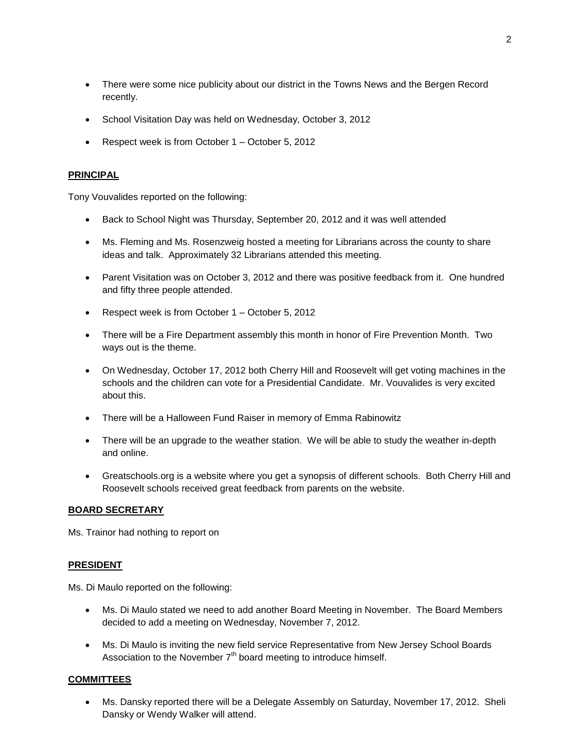- There were some nice publicity about our district in the Towns News and the Bergen Record recently.
- School Visitation Day was held on Wednesday, October 3, 2012
- Respect week is from October 1 October 5, 2012

## **PRINCIPAL**

Tony Vouvalides reported on the following:

- Back to School Night was Thursday, September 20, 2012 and it was well attended
- Ms. Fleming and Ms. Rosenzweig hosted a meeting for Librarians across the county to share ideas and talk. Approximately 32 Librarians attended this meeting.
- Parent Visitation was on October 3, 2012 and there was positive feedback from it. One hundred and fifty three people attended.
- Respect week is from October 1 October 5, 2012
- There will be a Fire Department assembly this month in honor of Fire Prevention Month. Two ways out is the theme.
- On Wednesday, October 17, 2012 both Cherry Hill and Roosevelt will get voting machines in the schools and the children can vote for a Presidential Candidate. Mr. Vouvalides is very excited about this.
- There will be a Halloween Fund Raiser in memory of Emma Rabinowitz
- There will be an upgrade to the weather station. We will be able to study the weather in-depth and online.
- Greatschools.org is a website where you get a synopsis of different schools. Both Cherry Hill and Roosevelt schools received great feedback from parents on the website.

## **BOARD SECRETARY**

Ms. Trainor had nothing to report on

## **PRESIDENT**

Ms. Di Maulo reported on the following:

- Ms. Di Maulo stated we need to add another Board Meeting in November. The Board Members decided to add a meeting on Wednesday, November 7, 2012.
- Ms. Di Maulo is inviting the new field service Representative from New Jersey School Boards Association to the November  $7<sup>th</sup>$  board meeting to introduce himself.

## **COMMITTEES**

 Ms. Dansky reported there will be a Delegate Assembly on Saturday, November 17, 2012. Sheli Dansky or Wendy Walker will attend.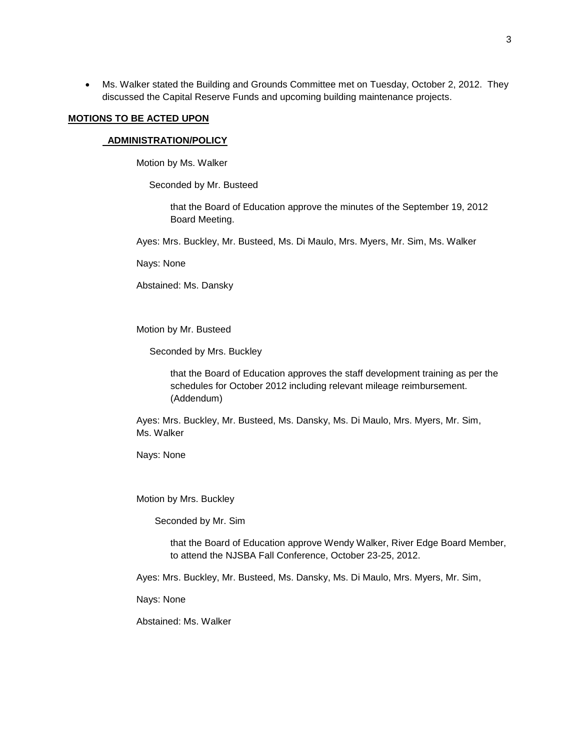Ms. Walker stated the Building and Grounds Committee met on Tuesday, October 2, 2012. They discussed the Capital Reserve Funds and upcoming building maintenance projects.

#### **MOTIONS TO BE ACTED UPON**

## **ADMINISTRATION/POLICY**

Motion by Ms. Walker

Seconded by Mr. Busteed

that the Board of Education approve the minutes of the September 19, 2012 Board Meeting.

Ayes: Mrs. Buckley, Mr. Busteed, Ms. Di Maulo, Mrs. Myers, Mr. Sim, Ms. Walker

Nays: None

Abstained: Ms. Dansky

Motion by Mr. Busteed

Seconded by Mrs. Buckley

that the Board of Education approves the staff development training as per the schedules for October 2012 including relevant mileage reimbursement. (Addendum)

Ayes: Mrs. Buckley, Mr. Busteed, Ms. Dansky, Ms. Di Maulo, Mrs. Myers, Mr. Sim, Ms. Walker

Nays: None

Motion by Mrs. Buckley

Seconded by Mr. Sim

that the Board of Education approve Wendy Walker, River Edge Board Member, to attend the NJSBA Fall Conference, October 23-25, 2012.

Ayes: Mrs. Buckley, Mr. Busteed, Ms. Dansky, Ms. Di Maulo, Mrs. Myers, Mr. Sim,

Nays: None

Abstained: Ms. Walker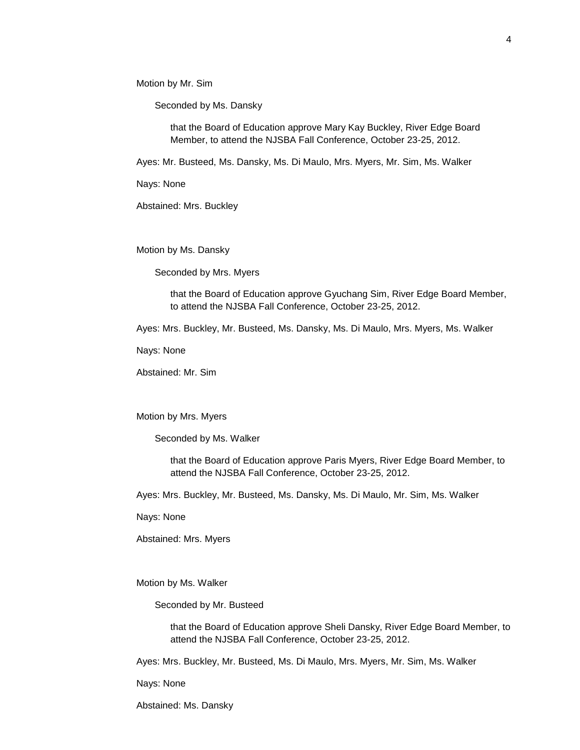Motion by Mr. Sim

Seconded by Ms. Dansky

that the Board of Education approve Mary Kay Buckley, River Edge Board Member, to attend the NJSBA Fall Conference, October 23-25, 2012.

Ayes: Mr. Busteed, Ms. Dansky, Ms. Di Maulo, Mrs. Myers, Mr. Sim, Ms. Walker

Nays: None

Abstained: Mrs. Buckley

Motion by Ms. Dansky

Seconded by Mrs. Myers

that the Board of Education approve Gyuchang Sim, River Edge Board Member, to attend the NJSBA Fall Conference, October 23-25, 2012.

Ayes: Mrs. Buckley, Mr. Busteed, Ms. Dansky, Ms. Di Maulo, Mrs. Myers, Ms. Walker

Nays: None

Abstained: Mr. Sim

Motion by Mrs. Myers

Seconded by Ms. Walker

that the Board of Education approve Paris Myers, River Edge Board Member, to attend the NJSBA Fall Conference, October 23-25, 2012.

Ayes: Mrs. Buckley, Mr. Busteed, Ms. Dansky, Ms. Di Maulo, Mr. Sim, Ms. Walker

Nays: None

Abstained: Mrs. Myers

Motion by Ms. Walker

Seconded by Mr. Busteed

that the Board of Education approve Sheli Dansky, River Edge Board Member, to attend the NJSBA Fall Conference, October 23-25, 2012.

Ayes: Mrs. Buckley, Mr. Busteed, Ms. Di Maulo, Mrs. Myers, Mr. Sim, Ms. Walker

Nays: None

Abstained: Ms. Dansky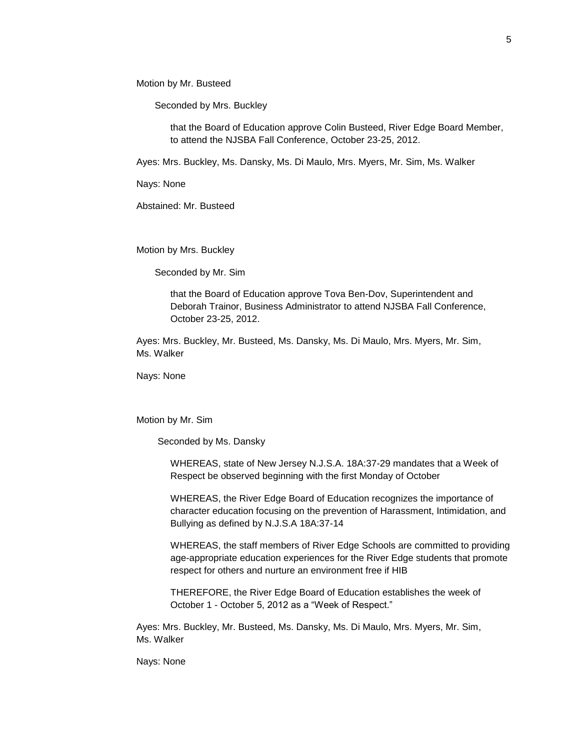Motion by Mr. Busteed

Seconded by Mrs. Buckley

that the Board of Education approve Colin Busteed, River Edge Board Member, to attend the NJSBA Fall Conference, October 23-25, 2012.

Ayes: Mrs. Buckley, Ms. Dansky, Ms. Di Maulo, Mrs. Myers, Mr. Sim, Ms. Walker

Nays: None

Abstained: Mr. Busteed

Motion by Mrs. Buckley

Seconded by Mr. Sim

that the Board of Education approve Tova Ben-Dov, Superintendent and Deborah Trainor, Business Administrator to attend NJSBA Fall Conference, October 23-25, 2012.

Ayes: Mrs. Buckley, Mr. Busteed, Ms. Dansky, Ms. Di Maulo, Mrs. Myers, Mr. Sim, Ms. Walker

Nays: None

Motion by Mr. Sim

Seconded by Ms. Dansky

WHEREAS, state of New Jersey N.J.S.A. 18A:37-29 mandates that a Week of Respect be observed beginning with the first Monday of October

WHEREAS, the River Edge Board of Education recognizes the importance of character education focusing on the prevention of Harassment, Intimidation, and Bullying as defined by N.J.S.A 18A:37-14

WHEREAS, the staff members of River Edge Schools are committed to providing age-appropriate education experiences for the River Edge students that promote respect for others and nurture an environment free if HIB

THEREFORE, the River Edge Board of Education establishes the week of October 1 - October 5, 2012 as a "Week of Respect."

Ayes: Mrs. Buckley, Mr. Busteed, Ms. Dansky, Ms. Di Maulo, Mrs. Myers, Mr. Sim, Ms. Walker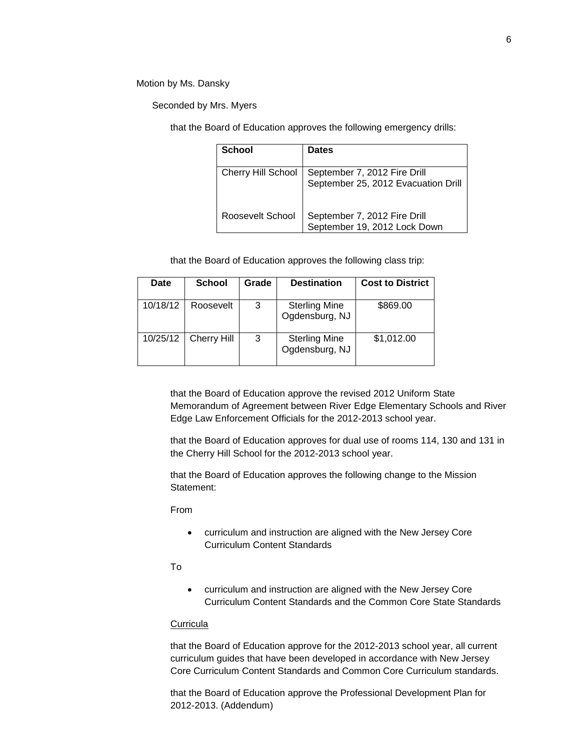Motion by Ms. Dansky

Seconded by Mrs. Myers

that the Board of Education approves the following emergency drills:

| School                    | <b>Dates</b>                                                        |
|---------------------------|---------------------------------------------------------------------|
| <b>Cherry Hill School</b> | September 7, 2012 Fire Drill<br>September 25, 2012 Evacuation Drill |
| Roosevelt School          | September 7, 2012 Fire Drill<br>September 19, 2012 Lock Down        |

that the Board of Education approves the following class trip:

| Date     | <b>School</b>      | Grade | <b>Destination</b>                     | <b>Cost to District</b> |
|----------|--------------------|-------|----------------------------------------|-------------------------|
| 10/18/12 | Roosevelt          | 3     | <b>Sterling Mine</b><br>Ogdensburg, NJ | \$869.00                |
| 10/25/12 | <b>Cherry Hill</b> | 3     | <b>Sterling Mine</b><br>Ogdensburg, NJ | \$1,012.00              |

that the Board of Education approve the revised 2012 Uniform State Memorandum of Agreement between River Edge Elementary Schools and River Edge Law Enforcement Officials for the 2012-2013 school year.

that the Board of Education approves for dual use of rooms 114, 130 and 131 in the Cherry Hill School for the 2012-2013 school year.

that the Board of Education approves the following change to the Mission Statement:

From

 curriculum and instruction are aligned with the New Jersey Core Curriculum Content Standards

To

 curriculum and instruction are aligned with the New Jersey Core Curriculum Content Standards and the Common Core State Standards

## **Curricula**

that the Board of Education approve for the 2012-2013 school year, all current curriculum guides that have been developed in accordance with New Jersey Core Curriculum Content Standards and Common Core Curriculum standards.

that the Board of Education approve the Professional Development Plan for 2012-2013. (Addendum)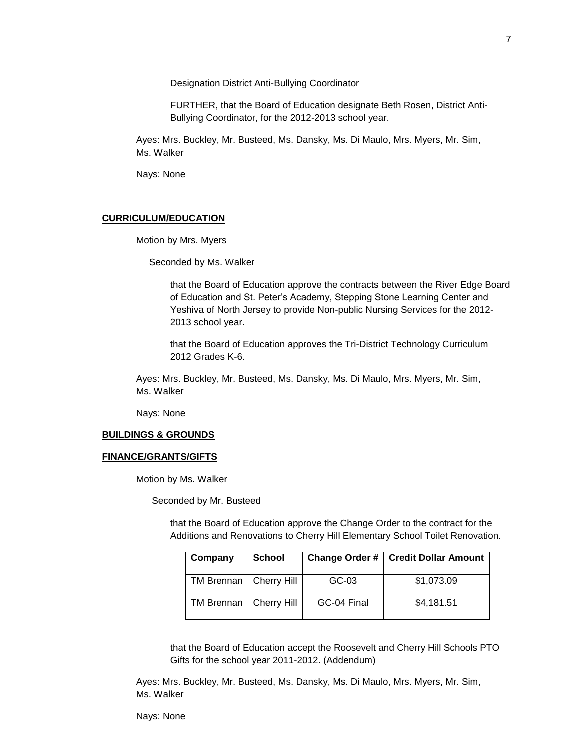Designation District Anti-Bullying Coordinator

FURTHER, that the Board of Education designate Beth Rosen, District Anti-Bullying Coordinator, for the 2012-2013 school year.

Ayes: Mrs. Buckley, Mr. Busteed, Ms. Dansky, Ms. Di Maulo, Mrs. Myers, Mr. Sim, Ms. Walker

Nays: None

## **CURRICULUM/EDUCATION**

Motion by Mrs. Myers

Seconded by Ms. Walker

that the Board of Education approve the contracts between the River Edge Board of Education and St. Peter's Academy, Stepping Stone Learning Center and Yeshiva of North Jersey to provide Non-public Nursing Services for the 2012- 2013 school year.

that the Board of Education approves the Tri-District Technology Curriculum 2012 Grades K-6.

Ayes: Mrs. Buckley, Mr. Busteed, Ms. Dansky, Ms. Di Maulo, Mrs. Myers, Mr. Sim, Ms. Walker

Nays: None

#### **BUILDINGS & GROUNDS**

#### **FINANCE/GRANTS/GIFTS**

Motion by Ms. Walker

Seconded by Mr. Busteed

that the Board of Education approve the Change Order to the contract for the Additions and Renovations to Cherry Hill Elementary School Toilet Renovation.

| Company                  | <b>School</b> |             | Change Order #   Credit Dollar Amount |
|--------------------------|---------------|-------------|---------------------------------------|
| TM Brennan   Cherry Hill |               | GC-03       | \$1,073.09                            |
| TM Brennan   Cherry Hill |               | GC-04 Final | \$4,181.51                            |

that the Board of Education accept the Roosevelt and Cherry Hill Schools PTO Gifts for the school year 2011-2012. (Addendum)

Ayes: Mrs. Buckley, Mr. Busteed, Ms. Dansky, Ms. Di Maulo, Mrs. Myers, Mr. Sim, Ms. Walker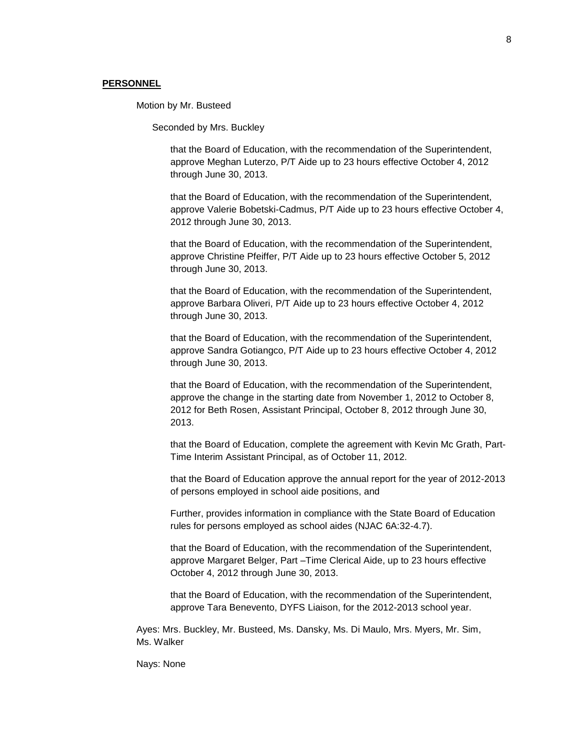### **PERSONNEL**

Motion by Mr. Busteed

Seconded by Mrs. Buckley

that the Board of Education, with the recommendation of the Superintendent, approve Meghan Luterzo, P/T Aide up to 23 hours effective October 4, 2012 through June 30, 2013.

that the Board of Education, with the recommendation of the Superintendent, approve Valerie Bobetski-Cadmus, P/T Aide up to 23 hours effective October 4, 2012 through June 30, 2013.

that the Board of Education, with the recommendation of the Superintendent, approve Christine Pfeiffer, P/T Aide up to 23 hours effective October 5, 2012 through June 30, 2013.

that the Board of Education, with the recommendation of the Superintendent, approve Barbara Oliveri, P/T Aide up to 23 hours effective October 4, 2012 through June 30, 2013.

that the Board of Education, with the recommendation of the Superintendent, approve Sandra Gotiangco, P/T Aide up to 23 hours effective October 4, 2012 through June 30, 2013.

that the Board of Education, with the recommendation of the Superintendent, approve the change in the starting date from November 1, 2012 to October 8, 2012 for Beth Rosen, Assistant Principal, October 8, 2012 through June 30, 2013.

that the Board of Education, complete the agreement with Kevin Mc Grath, Part-Time Interim Assistant Principal, as of October 11, 2012.

that the Board of Education approve the annual report for the year of 2012-2013 of persons employed in school aide positions, and

Further, provides information in compliance with the State Board of Education rules for persons employed as school aides (NJAC 6A:32-4.7).

that the Board of Education, with the recommendation of the Superintendent, approve Margaret Belger, Part –Time Clerical Aide, up to 23 hours effective October 4, 2012 through June 30, 2013.

that the Board of Education, with the recommendation of the Superintendent, approve Tara Benevento, DYFS Liaison, for the 2012-2013 school year.

Ayes: Mrs. Buckley, Mr. Busteed, Ms. Dansky, Ms. Di Maulo, Mrs. Myers, Mr. Sim, Ms. Walker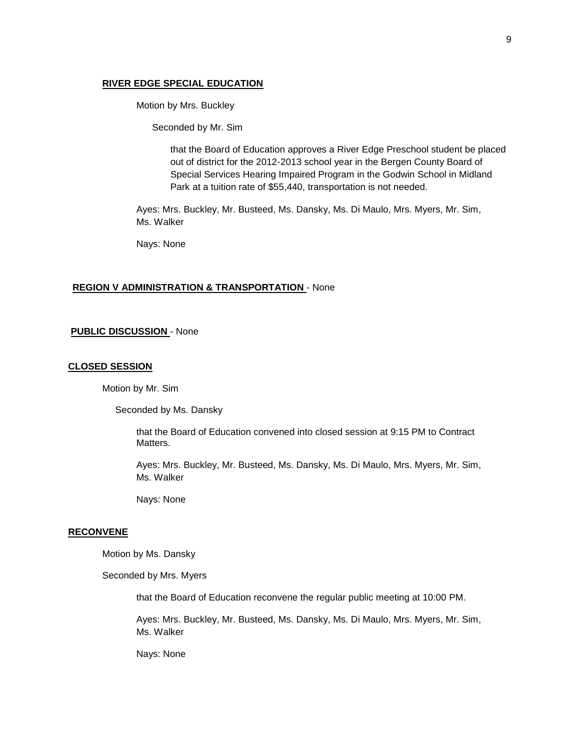## **RIVER EDGE SPECIAL EDUCATION**

Motion by Mrs. Buckley

Seconded by Mr. Sim

that the Board of Education approves a River Edge Preschool student be placed out of district for the 2012-2013 school year in the Bergen County Board of Special Services Hearing Impaired Program in the Godwin School in Midland Park at a tuition rate of \$55,440, transportation is not needed.

Ayes: Mrs. Buckley, Mr. Busteed, Ms. Dansky, Ms. Di Maulo, Mrs. Myers, Mr. Sim, Ms. Walker

Nays: None

## **REGION V ADMINISTRATION & TRANSPORTATION** - None

#### **PUBLIC DISCUSSION** - None

#### **CLOSED SESSION**

Motion by Mr. Sim

Seconded by Ms. Dansky

that the Board of Education convened into closed session at 9:15 PM to Contract Matters.

Ayes: Mrs. Buckley, Mr. Busteed, Ms. Dansky, Ms. Di Maulo, Mrs. Myers, Mr. Sim, Ms. Walker

Nays: None

#### **RECONVENE**

Motion by Ms. Dansky

Seconded by Mrs. Myers

that the Board of Education reconvene the regular public meeting at 10:00 PM.

Ayes: Mrs. Buckley, Mr. Busteed, Ms. Dansky, Ms. Di Maulo, Mrs. Myers, Mr. Sim, Ms. Walker